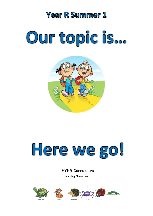# **Year R Summer 1**

# Our topic is...





# EYFS Curriculum

**Learning Characters**

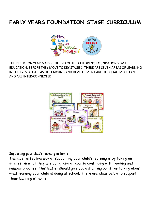# **EARLY YEARS FOUNDATION STAGE CURRICULUM**



THE RECEPTION YEAR MARKS THE END OF THE CHILDREN'S FOUNDATION STAGE EDUCATION, BEFORE THEY MOVE TO KEY STAGE 1. THERE ARE SEVEN AREAS OF LEARNING IN THE EYFS. ALL AREAS OF LEARNING AND DEVELOPMENT ARE OF EQUAL IMPORTANCE AND ARE INTER-CONNECTED.



#### Supporting your child's learning at home

The most effective way of supporting your child's learning is by taking an interest in what they are doing, and of course continuing with reading and number practise. This leaflet should give you a starting point for talking about what learning your child is doing at school. There are ideas below to support their learning at home.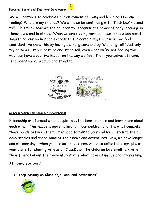#### **Personal Social and Emotional Development**

We will continue to celebrate our enjoyment of living and learning. How am I feeling? Who are my friends? We will also be continuing with 'Trick box' – stand tall. This trick teaches the children to recognise the power of body language in themselves and in others. When we are feeling worried, upset or anxious about something, our bodies can express this in certain ways. But when we feel confident, we show this by having a strong core and by 'standing tall.' Actively trying to adjust our posture and stand tall, even when we're not feeling this way, can have a positive impact on the way we feel. Try it yourselves at home; 'shoulders back, head up and stand tall!'



## **Communication and Language Development**

Friendship are formed when people take the time to share and learn more about each other. This happens more naturally in our children and it is what cements those bonds between them. It is good to talk to your children, listen to their daily stories and share some of their news and adventures. Now, we have longer and warmer days, when you are out, please remember to collect photographs of your visits for sharing with us on ClassDojo. The children love small talk with their friends about their adventures; it is what make us unique and interesting.

**At home, you could:**

**Keep posting on Class dojo 'weekend adventures'** 

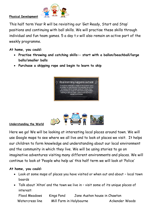

#### **Physical Development**

This half term Year R will be revisiting our 'Get Ready, Start and Stop' positions and continuing with ball skills. We will practise these skills through individual and fun team games. 5 a day t.v will also remain an active part of the weekly programme.

**At home, you could:**

- **Practise throwing and catching skills:- start with a ballon/beachball/large balls/smaller balls**
- **Purchase a skipping rope and begin to learn to skip**





#### **Understanding the World**

Here we go! We will be looking at interesting local places around town. We will use Google maps to see where we all live and to look at places we visit. It helps our children to form knowledge and understanding about our local environment and the community in which they live. We will be using stories to go on imaginative adventures visiting many different environments and places. We will continue to look at 'People who help us' this half term we will look at 'Police'

#### **At home, you could:**

- Look at some maps of places you have visited or when out and about local town boards
- Talk about 'Alton' and the town we live in visit some of its unique places of interest:

| Flood Meadows   | Kings Pond              | Jane Austen house in Chawton |                |
|-----------------|-------------------------|------------------------------|----------------|
| Watercress line | Mill Farm in Holybourne |                              | Ackender Woods |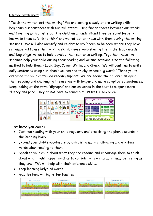

#### **Literacy Development**

"Teach the writer, not the writing.' We are looking closely at are writing skills, beginning our sentences with Capital letters, using finger spaces between our words and finishing with a full stop. The children all understand their personal target known to them as 'pink to think' and we reflect on these with them during the writing sessions. We will also identify and celebrate any 'green to be seen' where they have remembered to use their writing skills. Please keep sharing the tricky truck words and 'bug bingo' words to help develop their sentence writing. Together these two schemes help your child during their reading and writing sessions. Use the following method to help them - Look, Say, Cover, Write, and Check! We will continue to write daily sentences using our 'phonic sounds and tricky words/bug words.' Thank you to everyone for your continued reading support. We are seeing the children enjoying their reading and challenging themselves with longer and more complicated sentences. Keep looking at the vowel 'digraphs' and known words in the text to support more fluency and pace. They do not have to sound out EVERYTHING NOW!



#### **At home you could:**

- Continue reading with your child regularly and practising the phonic sounds in the Reading Diary.
- Expand your child's vocabulary by discussing more challenging and exciting words when reading to them.
- Speak to your child about what they are reading and encourage them to think about what might happen next or to consider why a character may be feeling as they are. This will help with their inference skills.
- Keep learning ladybird words.
- Practise handwriting letter families:

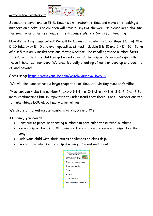

#### **Mathematical Development**

So much to cover and so little time – we will return to time and move onto looking at numbers on clocks! The children will revisit 'Days of the week' so please keep chanting the song to help them remember the sequence. Mr. R.'s Songs for Teaching

Now it's getting complicated!' We will be looking at number relationships. Half of 10 is 5, 10 take away  $5 = 5$  and even opposites attract - double  $5$  is 10 and  $5 + 5 = 10$  Some of our 5 min daily maths sessions Maths Rocks will be recalling these number facts. It is so vital that the children get a real value of the number sequences especially those tricky teen numbers. We practice daily chanting of our numbers up and down to 20 and beyond……………………………………

## Great song:<https://www.youtube.com/watch?v=uedvwH6Ay18>

We will also concentrate a large proportion of time still visiting number families:

'How can you make the number 6'  $1+1+1+1+1=6$ ,  $2+2+2=6$ ,  $4+2=6$ ,  $3+3=6$ ,  $5+1=6$  So many combinations but so important to understand that there is not 1 correct answer to make things EQUAL but many alternatives.

We also start chanting our numbers in: 2's, 5's and 10's

## **At home, you could:**

- Continue to practise chanting numbers in particular those 'teen' numbers
- Recap number bonds to 10 to ensure the children are secure remember the song
- Help your child with their maths challenges on class dojo.
- See what numbers you can spot when you're out and about.

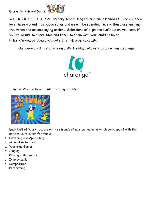

We use 'OUT OF THE ARK' primary school songs during our assemblies. The children love these vibrant, feel-good songs and we will be spending time within class learning the words and accompanying actions. Selections of clips are available on 'you tube' if you would like to share time and listen to them with your child at home. https://www.youtube.com/playlist?list=PLxybjfxLKz...9m

Our dedicated music time on a Wednesday follows 'charanga' music scheme



Summer 2: - Big Bear Funk – finding a pulse



Each Unit of Work focuses on the strands of musical learning which correspond with the national curriculum for music:

- 1. Listening and Appraising
- 2. Musical Activities
- a. Warm-up Games
- b. Singing
- c. Playing instruments
- d. Improvisation
- e. Composition
- 3. Performing